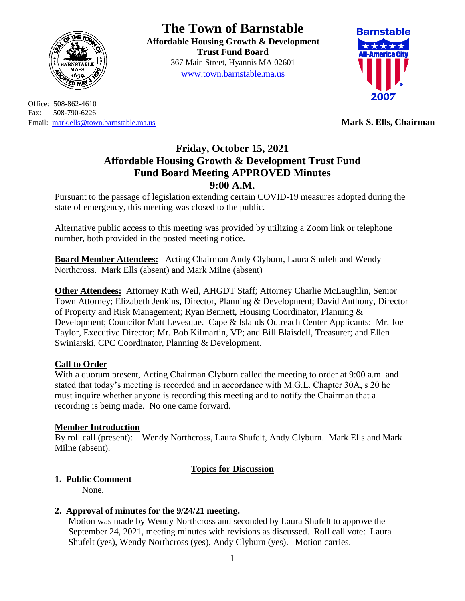

Office: 508-862-4610 Fax: 508-790-6226 Email: [mark.ells@town.barnstable.ma.us](mailto:mark.ells@town.barnstable.ma.us) **Mark S. Ells, Chairman**

# **The Town of Barnstable**

**Affordable Housing Growth & Development Trust Fund Board**  367 Main Street, Hyannis MA 02601 [www.town.barnstable.ma.us](http://www.town.barnstable.ma.us/)



## **Friday, October 15, 2021 Affordable Housing Growth & Development Trust Fund Fund Board Meeting APPROVED Minutes 9:00 A.M.**

Pursuant to the passage of legislation extending certain COVID-19 measures adopted during the state of emergency, this meeting was closed to the public.

Alternative public access to this meeting was provided by utilizing a Zoom link or telephone number, both provided in the posted meeting notice.

**Board Member Attendees:** Acting Chairman Andy Clyburn, Laura Shufelt and Wendy Northcross. Mark Ells (absent) and Mark Milne (absent)

**Other Attendees:** Attorney Ruth Weil, AHGDT Staff; Attorney Charlie McLaughlin, Senior Town Attorney; Elizabeth Jenkins, Director, Planning & Development; David Anthony, Director of Property and Risk Management; Ryan Bennett, Housing Coordinator, Planning & Development; Councilor Matt Levesque. Cape & Islands Outreach Center Applicants: Mr. Joe Taylor, Executive Director; Mr. Bob Kilmartin, VP; and Bill Blaisdell, Treasurer; and Ellen Swiniarski, CPC Coordinator, Planning & Development.

## **Call to Order**

With a quorum present, Acting Chairman Clyburn called the meeting to order at 9:00 a.m. and stated that today's meeting is recorded and in accordance with M.G.L. Chapter 30A, s 20 he must inquire whether anyone is recording this meeting and to notify the Chairman that a recording is being made. No one came forward.

#### **Member Introduction**

By roll call (present): Wendy Northcross, Laura Shufelt, Andy Clyburn. Mark Ells and Mark Milne (absent).

## **Topics for Discussion**

#### **1. Public Comment**

None.

## **2. Approval of minutes for the 9/24/21 meeting.**

Motion was made by Wendy Northcross and seconded by Laura Shufelt to approve the September 24, 2021, meeting minutes with revisions as discussed. Roll call vote: Laura Shufelt (yes), Wendy Northcross (yes), Andy Clyburn (yes). Motion carries.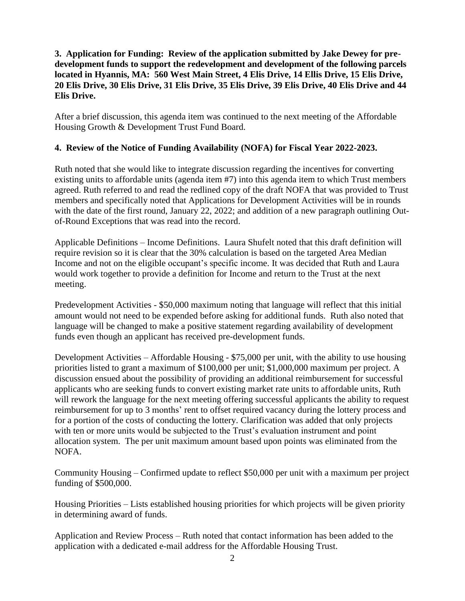#### **3. Application for Funding: Review of the application submitted by Jake Dewey for predevelopment funds to support the redevelopment and development of the following parcels located in Hyannis, MA: 560 West Main Street, 4 Elis Drive, 14 Ellis Drive, 15 Elis Drive, 20 Elis Drive, 30 Elis Drive, 31 Elis Drive, 35 Elis Drive, 39 Elis Drive, 40 Elis Drive and 44 Elis Drive.**

After a brief discussion, this agenda item was continued to the next meeting of the Affordable Housing Growth & Development Trust Fund Board.

#### **4. Review of the Notice of Funding Availability (NOFA) for Fiscal Year 2022-2023.**

Ruth noted that she would like to integrate discussion regarding the incentives for converting existing units to affordable units (agenda item #7) into this agenda item to which Trust members agreed. Ruth referred to and read the redlined copy of the draft NOFA that was provided to Trust members and specifically noted that Applications for Development Activities will be in rounds with the date of the first round, January 22, 2022; and addition of a new paragraph outlining Outof-Round Exceptions that was read into the record.

Applicable Definitions – Income Definitions. Laura Shufelt noted that this draft definition will require revision so it is clear that the 30% calculation is based on the targeted Area Median Income and not on the eligible occupant's specific income. It was decided that Ruth and Laura would work together to provide a definition for Income and return to the Trust at the next meeting.

Predevelopment Activities - \$50,000 maximum noting that language will reflect that this initial amount would not need to be expended before asking for additional funds. Ruth also noted that language will be changed to make a positive statement regarding availability of development funds even though an applicant has received pre-development funds.

Development Activities – Affordable Housing - \$75,000 per unit, with the ability to use housing priorities listed to grant a maximum of \$100,000 per unit; \$1,000,000 maximum per project. A discussion ensued about the possibility of providing an additional reimbursement for successful applicants who are seeking funds to convert existing market rate units to affordable units, Ruth will rework the language for the next meeting offering successful applicants the ability to request reimbursement for up to 3 months' rent to offset required vacancy during the lottery process and for a portion of the costs of conducting the lottery. Clarification was added that only projects with ten or more units would be subjected to the Trust's evaluation instrument and point allocation system. The per unit maximum amount based upon points was eliminated from the NOFA.

Community Housing – Confirmed update to reflect \$50,000 per unit with a maximum per project funding of \$500,000.

Housing Priorities – Lists established housing priorities for which projects will be given priority in determining award of funds.

Application and Review Process – Ruth noted that contact information has been added to the application with a dedicated e-mail address for the Affordable Housing Trust.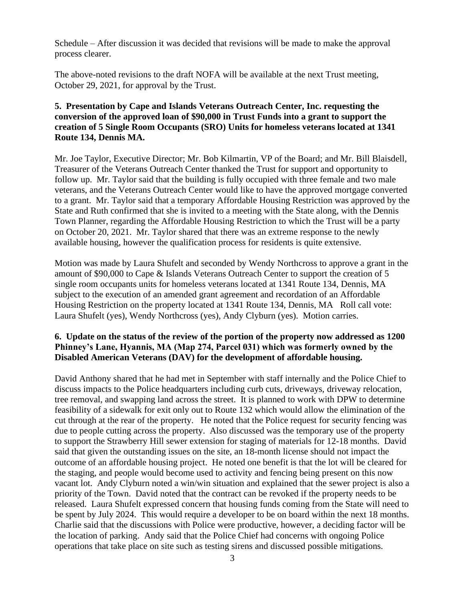Schedule – After discussion it was decided that revisions will be made to make the approval process clearer.

The above-noted revisions to the draft NOFA will be available at the next Trust meeting, October 29, 2021, for approval by the Trust.

#### **5. Presentation by Cape and Islands Veterans Outreach Center, Inc. requesting the conversion of the approved loan of \$90,000 in Trust Funds into a grant to support the creation of 5 Single Room Occupants (SRO) Units for homeless veterans located at 1341 Route 134, Dennis MA.**

Mr. Joe Taylor, Executive Director; Mr. Bob Kilmartin, VP of the Board; and Mr. Bill Blaisdell, Treasurer of the Veterans Outreach Center thanked the Trust for support and opportunity to follow up. Mr. Taylor said that the building is fully occupied with three female and two male veterans, and the Veterans Outreach Center would like to have the approved mortgage converted to a grant. Mr. Taylor said that a temporary Affordable Housing Restriction was approved by the State and Ruth confirmed that she is invited to a meeting with the State along, with the Dennis Town Planner, regarding the Affordable Housing Restriction to which the Trust will be a party on October 20, 2021. Mr. Taylor shared that there was an extreme response to the newly available housing, however the qualification process for residents is quite extensive.

Motion was made by Laura Shufelt and seconded by Wendy Northcross to approve a grant in the amount of \$90,000 to Cape & Islands Veterans Outreach Center to support the creation of 5 single room occupants units for homeless veterans located at 1341 Route 134, Dennis, MA subject to the execution of an amended grant agreement and recordation of an Affordable Housing Restriction on the property located at 1341 Route 134, Dennis, MA Roll call vote: Laura Shufelt (yes), Wendy Northcross (yes), Andy Clyburn (yes). Motion carries.

#### **6. Update on the status of the review of the portion of the property now addressed as 1200 Phinney's Lane, Hyannis, MA (Map 274, Parcel 031) which was formerly owned by the Disabled American Veterans (DAV) for the development of affordable housing.**

David Anthony shared that he had met in September with staff internally and the Police Chief to discuss impacts to the Police headquarters including curb cuts, driveways, driveway relocation, tree removal, and swapping land across the street. It is planned to work with DPW to determine feasibility of a sidewalk for exit only out to Route 132 which would allow the elimination of the cut through at the rear of the property. He noted that the Police request for security fencing was due to people cutting across the property. Also discussed was the temporary use of the property to support the Strawberry Hill sewer extension for staging of materials for 12-18 months. David said that given the outstanding issues on the site, an 18-month license should not impact the outcome of an affordable housing project. He noted one benefit is that the lot will be cleared for the staging, and people would become used to activity and fencing being present on this now vacant lot. Andy Clyburn noted a win/win situation and explained that the sewer project is also a priority of the Town. David noted that the contract can be revoked if the property needs to be released. Laura Shufelt expressed concern that housing funds coming from the State will need to be spent by July 2024. This would require a developer to be on board within the next 18 months. Charlie said that the discussions with Police were productive, however, a deciding factor will be the location of parking. Andy said that the Police Chief had concerns with ongoing Police operations that take place on site such as testing sirens and discussed possible mitigations.